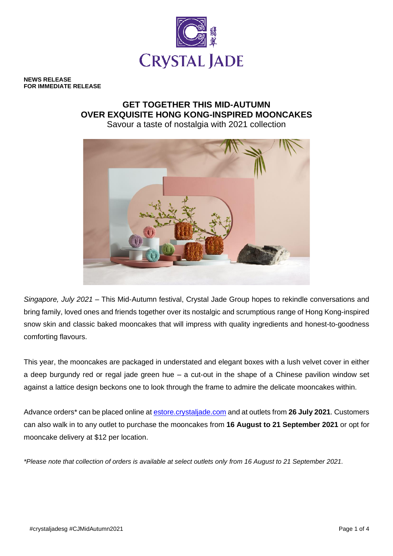

**NEWS RELEASE FOR IMMEDIATE RELEASE**

# **GET TOGETHER THIS MID-AUTUMN OVER EXQUISITE HONG KONG-INSPIRED MOONCAKES**

Savour a taste of nostalgia with 2021 collection



*Singapore, July 2021* – This Mid-Autumn festival, Crystal Jade Group hopes to rekindle conversations and bring family, loved ones and friends together over its nostalgic and scrumptious range of Hong Kong-inspired snow skin and classic baked mooncakes that will impress with quality ingredients and honest-to-goodness comforting flavours.

This year, the mooncakes are packaged in understated and elegant boxes with a lush velvet cover in either a deep burgundy red or regal jade green hue – a cut-out in the shape of a Chinese pavilion window set against a lattice design beckons one to look through the frame to admire the delicate mooncakes within.

Advance orders\* can be placed online a[t estore.crystaljade.com](http://www.crystaljade.com/) and at outlets from **26 July 2021**. Customers can also walk in to any outlet to purchase the mooncakes from **16 August to 21 September 2021** or opt for mooncake delivery at \$12 per location.

*\*Please note that collection of orders is available at select outlets only from 16 August to 21 September 2021.*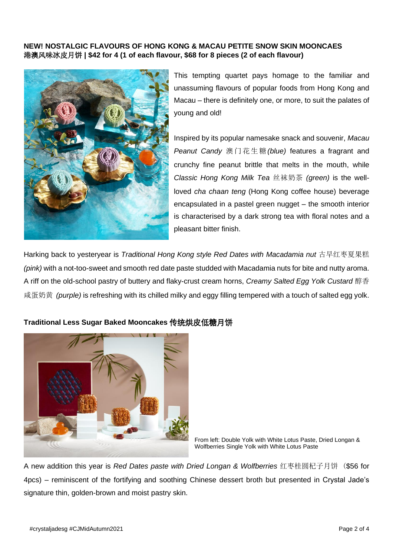## **NEW! NOSTALGIC FLAVOURS OF HONG KONG & MACAU PETITE SNOW SKIN MOONCAES** 港澳风味冰皮月饼 **| \$42 for 4 (1 of each flavour, \$68 for 8 pieces (2 of each flavour)**



This tempting quartet pays homage to the familiar and unassuming flavours of popular foods from Hong Kong and Macau – there is definitely one, or more, to suit the palates of young and old!

Inspired by its popular namesake snack and souvenir, *Macau Peanut Candy* 澳门花生糖*(blue)* features a fragrant and crunchy fine peanut brittle that melts in the mouth, while *Classic Hong Kong Milk Tea* 丝袜奶茶 *(green)* is the wellloved *cha chaan teng* (Hong Kong coffee house) beverage encapsulated in a pastel green nugget – the smooth interior is characterised by a dark strong tea with floral notes and a pleasant bitter finish.

Harking back to yesteryear is *Traditional Hong Kong style Red Dates with Macadamia nut* 古早红枣夏果糕 *(pink)* with a not-too-sweet and smooth red date paste studded with Macadamia nuts for bite and nutty aroma. A riff on the old-school pastry of buttery and flaky-crust cream horns, *Creamy Salted Egg Yolk Custard* 醇香 咸蛋奶黄 *(purple)* is refreshing with its chilled milky and eggy filling tempered with a touch of salted egg yolk.



## **Traditional Less Sugar Baked Mooncakes** 传统烘皮低糖月饼

From left: Double Yolk with White Lotus Paste, Dried Longan & Wolfberries Single Yolk with White Lotus Paste

A new addition this year is *Red Dates paste with Dried Longan & Wolfberries* 红枣桂圆杞子月饼 (\$56 for 4pcs) – reminiscent of the fortifying and soothing Chinese dessert broth but presented in Crystal Jade's signature thin, golden-brown and moist pastry skin.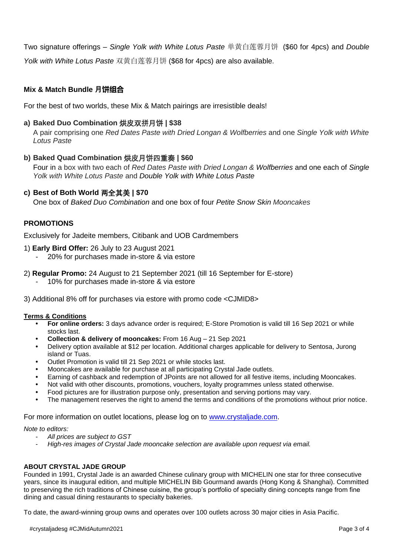Two signature offerings – *Single Yolk with White Lotus Paste* 单黄白莲蓉月饼 (\$60 for 4pcs) and *Double Yolk with White Lotus Paste* 双黄白莲蓉月饼 (\$68 for 4pcs) are also available.

# **Mix & Match Bundle 月饼组合**

For the best of two worlds, these Mix & Match pairings are irresistible deals!

## **a) Baked Duo Combination** 烘皮双拼月饼 **| \$38**

A pair comprising one *Red Dates Paste with Dried Longan & Wolfberries* and one *Single Yolk with White Lotus Paste*

#### **b) Baked Quad Combination** 烘皮月饼四重奏 **| \$60**

Four in a box with two each of *Red Dates Paste with Dried Longan & Wolfberries* and one each of *Single Yolk with White Lotus Paste* and *Double Yolk with White Lotus Paste*

#### **c) Best of Both World** 两全其美 **| \$70**

One box of *Baked Duo Combination* and one box of four *Petite Snow Skin Mooncakes*

## **PROMOTIONS**

Exclusively for Jadeite members, Citibank and UOB Cardmembers

- 1) **Early Bird Offer:** 26 July to 23 August 2021
	- 20% for purchases made in-store & via estore
- 2) **Regular Promo:** 24 August to 21 September 2021 (till 16 September for E-store)
	- 10% for purchases made in-store & via estore

3) Additional 8% off for purchases via estore with promo code <CJMID8>

#### **Terms & Conditions**

- **• For online orders:** 3 days advance order is required; E-Store Promotion is valid till 16 Sep 2021 or while stocks last.
- **• Collection & delivery of mooncakes:** From 16 Aug 21 Sep 2021
- **•** Delivery option available at \$12 per location. Additional charges applicable for delivery to Sentosa, Jurong island or Tuas.
- **•** Outlet Promotion is valid till 21 Sep 2021 or while stocks last.
- **•** Mooncakes are available for purchase at all participating Crystal Jade outlets.
- **•** Earning of cashback and redemption of JPoints are not allowed for all festive items, including Mooncakes.
- **•** Not valid with other discounts, promotions, vouchers, loyalty programmes unless stated otherwise.
- **•** Food pictures are for illustration purpose only, presentation and serving portions may vary.
- **•** The management reserves the right to amend the terms and conditions of the promotions without prior notice.

For more information on outlet locations, please log on to [www.crystaljade.com.](http://www.crystaljade.com/)

*Note to editors:* 

- *All prices are subject to GST*
- *High-res images of Crystal Jade mooncake selection are available upon request via email.*

#### **ABOUT CRYSTAL JADE GROUP**

Founded in 1991, Crystal Jade is an awarded Chinese culinary group with MICHELIN one star for three consecutive years, since its inaugural edition, and multiple MICHELIN Bib Gourmand awards (Hong Kong & Shanghai). Committed to preserving the rich traditions of Chinese cuisine, the group's portfolio of specialty dining concepts range from fine dining and casual dining restaurants to specialty bakeries.

To date, the award-winning group owns and operates over 100 outlets across 30 major cities in Asia Pacific.